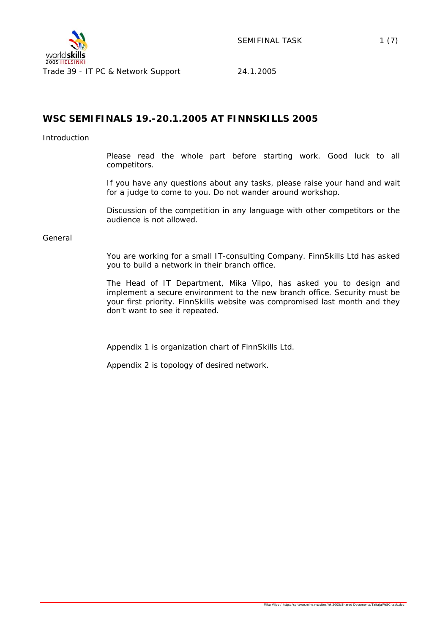

SEMIFINAL TASK 1 (7)

# **WSC SEMIFINALS 19.-20.1.2005 AT FINNSKILLS 2005**

#### Introduction

Please read the whole part before starting work. Good luck to all competitors.

If you have any questions about any tasks, please raise your hand and wait for a judge to come to you. Do not wander around workshop.

Discussion of the competition in any language with other competitors or the audience is not allowed.

#### General

You are working for a small IT-consulting Company. FinnSkills Ltd has asked you to build a network in their branch office.

The Head of IT Department, Mika Vilpo, has asked you to design and implement a secure environment to the new branch office. Security must be your first priority. FinnSkills website was compromised last month and they don't want to see it repeated.

Appendix 1 is organization chart of FinnSkills Ltd.

Appendix 2 is topology of desired network.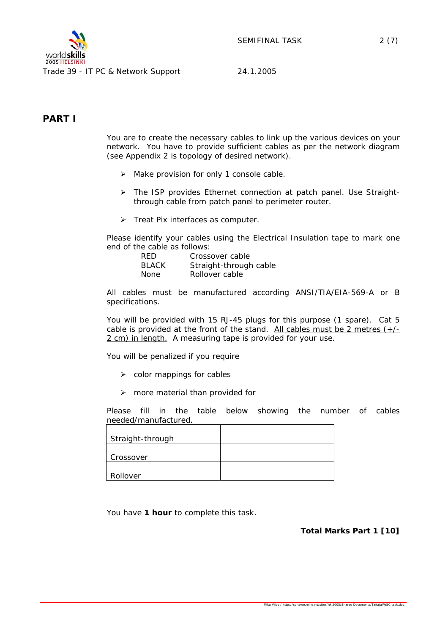

Trade 39 - IT PC & Network Support 24.1.2005

# **PART I**

You are to create the necessary cables to link up the various devices on your network. You have to provide sufficient cables as per the network diagram (see Appendix 2 is topology of desired network).

- $\triangleright$  Make provision for only 1 console cable.
- ¾ The ISP provides Ethernet connection at patch panel. Use Straightthrough cable from patch panel to perimeter router.
- ¾ Treat Pix interfaces as computer.

Please identify your cables using the Electrical Insulation tape to mark one end of the cable as follows:

| RFD.         | Crossover cable        |
|--------------|------------------------|
| <b>BLACK</b> | Straight-through cable |
| None         | Rollover cable         |

All cables must be manufactured according ANSI/TIA/EIA-569-A or B specifications.

You will be provided with 15 RJ-45 plugs for this purpose (1 spare). Cat 5 cable is provided at the front of the stand. All cables must be 2 metres (+/- 2 cm) in length. A measuring tape is provided for your use.

You will be penalized if you require

- $\triangleright$  color mappings for cables
- $\triangleright$  more material than provided for

Please fill in the table below showing the number of cables needed/manufactured.

| Straight-through |  |
|------------------|--|
| Crossover        |  |
| Rollover         |  |

You have **1 hour** to complete this task.

**Total Marks Part 1 [10]** 

Mika Vilpo / http://sp.tewe.mine.nu/sites/hki2005/Shared Documents/Taitaja/WSC task.doc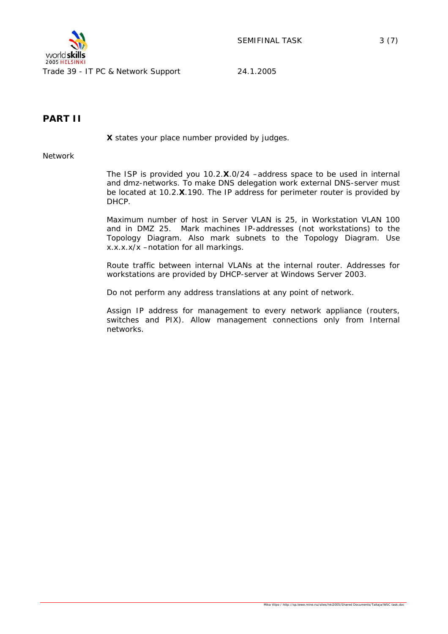

Trade 39 - IT PC & Network Support 24.1.2005

# **PART II**

*X states your place number provided by judges.* 

Network

The ISP is provided you 10.2.**X**.0/24 –address space to be used in internal and dmz-networks. To make DNS delegation work external DNS-server must be located at 10.2.**X**.190. The IP address for perimeter router is provided by DHCP.

Maximum number of host in Server VLAN is 25, in Workstation VLAN 100 and in DMZ 25. Mark machines IP-addresses (not workstations) to the Topology Diagram. Also mark subnets to the Topology Diagram. Use x.x.x.x/x –notation for all markings.

Route traffic between internal VLANs at the internal router. Addresses for workstations are provided by DHCP-server at Windows Server 2003.

Do not perform any address translations at any point of network.

Assign IP address for management to every network appliance (routers, switches and PIX). Allow management connections only from Internal networks.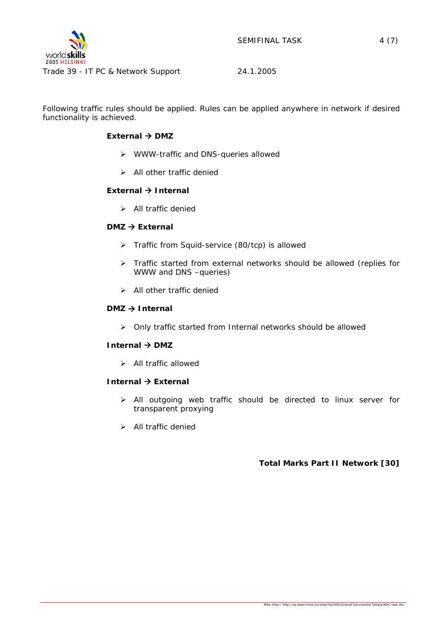

Following traffic rules should be applied. Rules can be applied anywhere in network if desired functionality is achieved.

# **External → DMZ**

- ¾ WWW-traffic and DNS-queries allowed
- $\triangleright$  All other traffic denied

#### **External → Internal**

 $\triangleright$  All traffic denied

# **DMZ → External**

- ¾ Traffic from Squid-service (80/tcp) is allowed
- ¾ Traffic started from external networks should be allowed (replies for WWW and DNS –queries)
- $\triangleright$  All other traffic denied

# **DMZ → Internal**

¾ Only traffic started from Internal networks should be allowed

#### **Internal → DMZ**

 $\triangleright$  All traffic allowed

# **Internal → External**

- $\triangleright$  All outgoing web traffic should be directed to linux server for transparent proxying
- $\triangleright$  All traffic denied

# **Total Marks Part II Network [30]**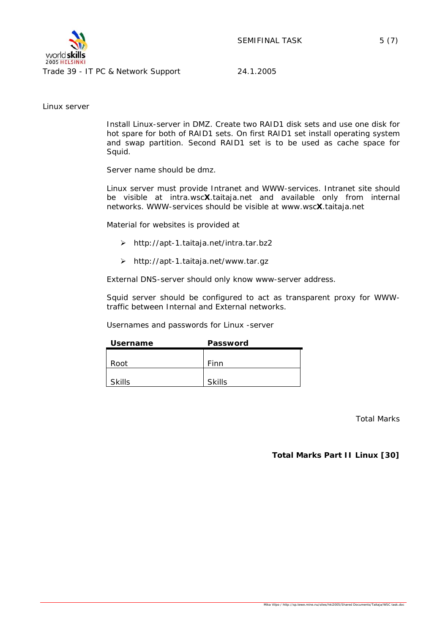

Trade 39 - IT PC & Network Support 24.1.2005

Linux server

Install Linux-server in DMZ. Create two RAID1 disk sets and use one disk for hot spare for both of RAID1 sets. On first RAID1 set install operating system and swap partition. Second RAID1 set is to be used as cache space for Squid.

Server name should be dmz.

Linux server must provide Intranet and WWW-services. Intranet site should be visible at intra.wsc**X**.taitaja.net and available only from internal networks. WWW-services should be visible at www.wsc**X**.taitaja.net

Material for websites is provided at

- ¾ *http://apt-1.taitaja.net/intra.tar.bz2*
- ¾ *http://apt-1.taitaja.net/www.tar.gz*

External DNS-server should only know www-server address.

Squid server should be configured to act as transparent proxy for WWWtraffic between Internal and External networks.

Usernames and passwords for Linux -server

| <b>Username</b> | Password      |
|-----------------|---------------|
|                 |               |
| Root            | Finn          |
|                 |               |
| <b>Skills</b>   | <b>Skills</b> |

Total Marks

**Total Marks Part II Linux [30]**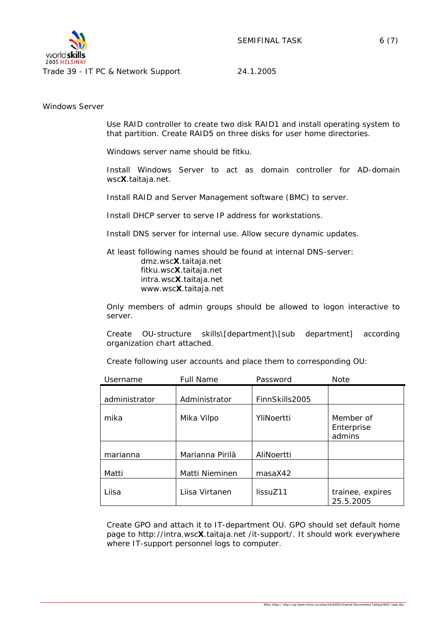

Windows Server

Use RAID controller to create two disk RAID1 and install operating system to that partition. Create RAID5 on three disks for user home directories.

Windows server name should be fitku.

Install Windows Server to act as domain controller for AD-domain wsc**X**.taitaja.net.

Install RAID and Server Management software (BMC) to server.

Install DHCP server to serve IP address for workstations.

Install DNS server for internal use. Allow secure dynamic updates.

At least following names should be found at internal DNS-server: dmz.wsc**X**.taitaja.net fitku.wsc**X**.taitaja.net intra.wsc**X**.taitaja.net www.wsc**X**.taitaja.net

Only members of admin groups should be allowed to logon interactive to server.

Create OU-structure skills\[department]\[sub department] according organization chart attached.

Create following user accounts and place them to corresponding OU:

| Username      | <b>Full Name</b> | Password       | <b>Note</b>                       |
|---------------|------------------|----------------|-----------------------------------|
| administrator | Administrator    | FinnSkills2005 |                                   |
| mika          | Mika Vilpo       | YliNoertti     | Member of<br>Enterprise<br>admins |
| marianna      | Marianna Pirilä  | AliNoertti     |                                   |
| Matti         | Matti Nieminen   | masaX42        |                                   |
| Liisa         | Liisa Virtanen   | lissuZ11       | trainee, expires<br>25.5.2005     |

Create GPO and attach it to IT-department OU. GPO should set default home page to http://intra.wsc**X**.taitaja.net /it-support/. It should work everywhere where IT-support personnel logs to computer.